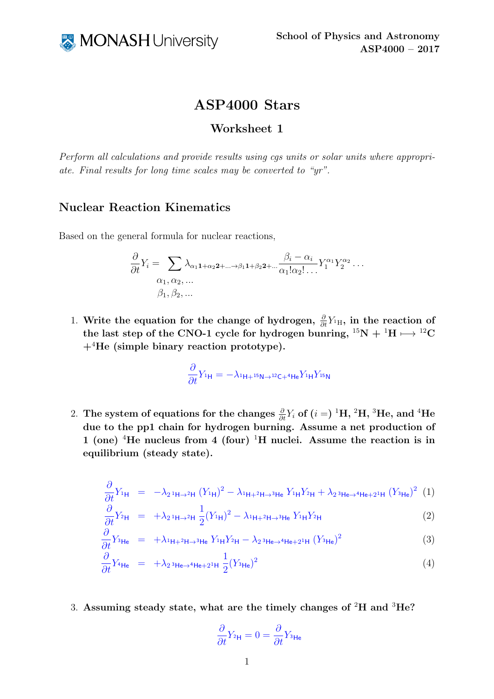

## ASP4000 Stars

## Worksheet 1

Perform all calculations and provide results using cgs units or solar units where appropriate. Final results for long time scales may be converted to "yr".

## Nuclear Reaction Kinematics

Based on the general formula for nuclear reactions,

$$
\frac{\partial}{\partial t}Y_i = \sum_{\substack{\alpha_1, \alpha_2, \dots \\ \alpha_1, \alpha_2, \dots}} \lambda_{\alpha_1 1 + \alpha_2 2 + \dots + \beta_1 1 + \beta_2 2 + \dots} \frac{\beta_i - \alpha_i}{\alpha_1! \alpha_2! \dots} Y_1^{\alpha_1} Y_2^{\alpha_2} \dots
$$
  

$$
\beta_1, \beta_2, \dots
$$

1. Write the equation for the change of hydrogen,  $\frac{\partial}{\partial t} Y_{1H}$ , in the reaction of the last step of the CNO-1 cycle for hydrogen bunring,  ${}^{15}N + {}^{1}H \rightarrow {}^{12}C$  $+$ <sup>4</sup>He (simple binary reaction prototype).

$$
\frac{\partial}{\partial t}Y_{1\mathsf{H}} = -\lambda_{1\mathsf{H}+15\mathsf{N}\rightarrow12\mathsf{C}+4\mathsf{H}\mathsf{e}}Y_{1\mathsf{H}}Y_{15\mathsf{N}}
$$

 $2. \ \ \text{The system of equations for the changes} \ \frac{\partial}{\partial t} Y_i \ \text{of} \ (i=)^{ \ 1} \text{H}, \ ^{2} \text{H}, \ ^{3} \text{He}, \ \text{and} \ ^{4} \text{He}$ due to the pp1 chain for hydrogen burning. Assume a net production of 1 (one) <sup>4</sup>He nucleus from 4 (four) <sup>1</sup>H nuclei. Assume the reaction is in equilibrium (steady state).

<span id="page-0-0"></span>
$$
\frac{\partial}{\partial t}Y_{1\mathsf{H}} = -\lambda_{2} \mathbf{1}_{\mathsf{H}\to 2\mathsf{H}} (Y_{1\mathsf{H}})^{2} - \lambda_{1\mathsf{H}+2\mathsf{H}\to 3\mathsf{He}} Y_{1\mathsf{H}} Y_{2\mathsf{H}} + \lambda_{2} \mathbf{1}_{\mathsf{He}\to 4\mathsf{He}+2^{1}\mathsf{H}} (Y_{3\mathsf{He}})^{2} (1)
$$

$$
\frac{\partial}{\partial t} Y_{2\mathsf{H}} = +\lambda_{2} \mathbf{1}_{\mathsf{H}\to 2\mathsf{H}} \frac{1}{2} (Y_{1\mathsf{H}})^2 - \lambda_{1\mathsf{H}+2\mathsf{H}\to 3\mathsf{He}} Y_{1\mathsf{H}} Y_{2\mathsf{H}}
$$
(2)

$$
\frac{\partial}{\partial t} Y_{^3\text{He}} = +\lambda_{^1\text{H}+^2\text{H}\rightarrow^3\text{He}} Y_{^1\text{H}} Y_{^2\text{H}} - \lambda_{^2} \,^3\text{He}\rightarrow^4\text{He}+^{21}\text{H} (Y_{^3\text{He}})^2 \tag{3}
$$

$$
\frac{\partial}{\partial t} Y_{4\mathsf{He}} = +\lambda_2 \mathbf{1}_{4\mathsf{He}\to4\mathsf{He}+2^{1}\mathsf{H}} \frac{1}{2} (Y_{3\mathsf{He}})^2 \tag{4}
$$

3. Assuming steady state, what are the timely changes of  ${}^{2}$ H and  ${}^{3}$ He?

$$
\frac{\partial}{\partial t}Y_{2\mathsf{H}} = 0 = \frac{\partial}{\partial t}Y_{3\mathsf{He}}
$$